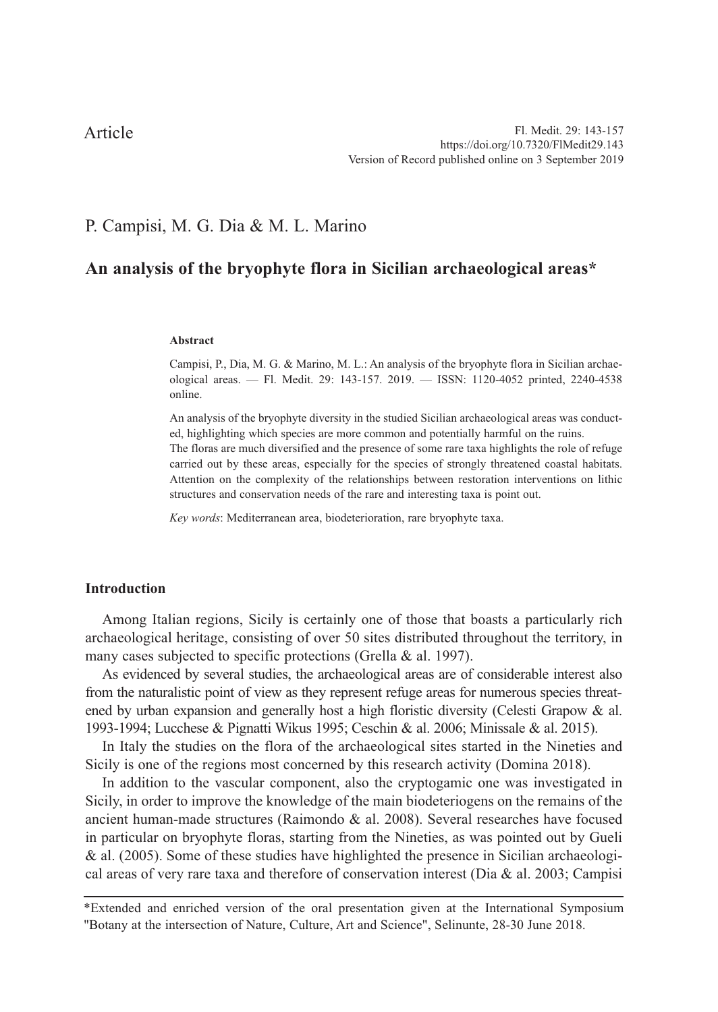## P. Campisi, M. G. Dia & M. L. Marino

# **An analysis of the bryophyte flora in Sicilian archaeological areas\***

#### **Abstract**

Campisi, P., Dia, M. G. & Marino, M. L.: An analysis of the bryophyte flora in Sicilian archaeological areas. — Fl. Medit. 29: 143-157. 2019. — ISSN: 1120-4052 printed, 2240-4538 online.

An analysis of the bryophyte diversity in the studied Sicilian archaeological areas was conducted, highlighting which species are more common and potentially harmful on the ruins. The floras are much diversified and the presence of some rare taxa highlights the role of refuge carried out by these areas, especially for the species of strongly threatened coastal habitats. Attention on the complexity of the relationships between restoration interventions on lithic structures and conservation needs of the rare and interesting taxa is point out.

*Key words*: Mediterranean area, biodeterioration, rare bryophyte taxa.

### **Introduction**

Among Italian regions, Sicily is certainly one of those that boasts a particularly rich archaeological heritage, consisting of over 50 sites distributed throughout the territory, in many cases subjected to specific protections (Grella & al. 1997).

As evidenced by several studies, the archaeological areas are of considerable interest also from the naturalistic point of view as they represent refuge areas for numerous species threatened by urban expansion and generally host a high floristic diversity (Celesti Grapow & al. 1993-1994; Lucchese & Pignatti Wikus 1995; Ceschin & al. 2006; Minissale & al. 2015).

In Italy the studies on the flora of the archaeological sites started in the Nineties and Sicily is one of the regions most concerned by this research activity (Domina 2018).

In addition to the vascular component, also the cryptogamic one was investigated in Sicily, in order to improve the knowledge of the main biodeteriogens on the remains of the ancient human-made structures (Raimondo & al. 2008). Several researches have focused in particular on bryophyte floras, starting from the Nineties, as was pointed out by Gueli & al. (2005). Some of these studies have highlighted the presence in Sicilian archaeological areas of very rare taxa and therefore of conservation interest (Dia & al. 2003; Campisi

\*Extended and enriched version of the oral presentation given at the International Symposium "Botany at the intersection of Nature, Culture, Art and Science", Selinunte, 28-30 June 2018.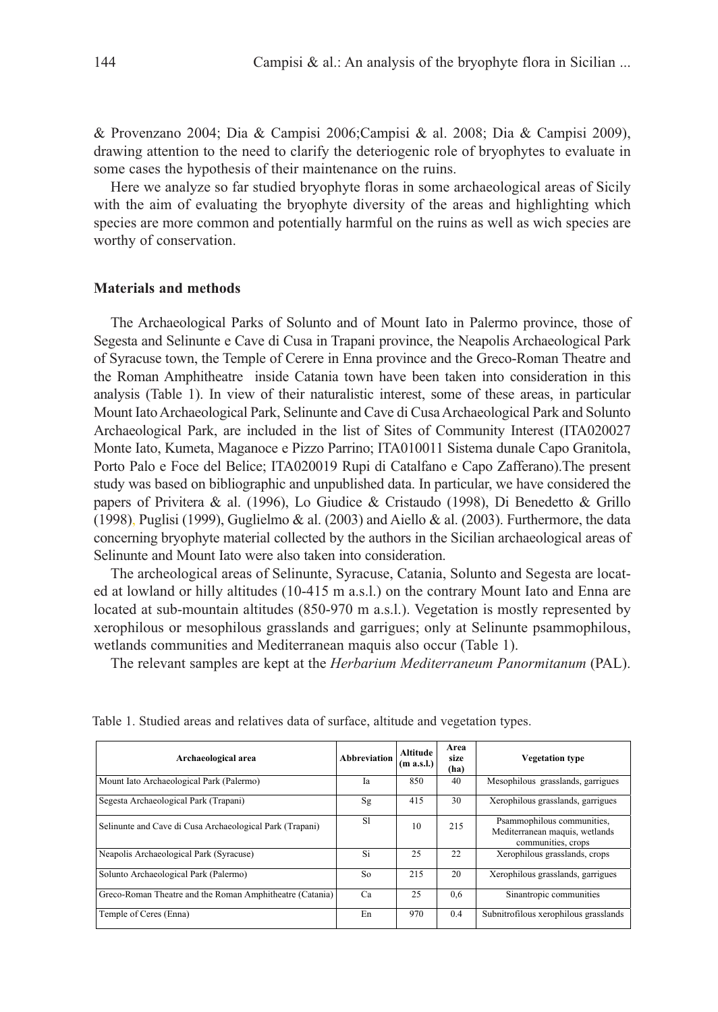& Provenzano 2004; Dia & Campisi 2006;Campisi & al. 2008; Dia & Campisi 2009), drawing attention to the need to clarify the deteriogenic role of bryophytes to evaluate in some cases the hypothesis of their maintenance on the ruins.

Here we analyze so far studied bryophyte floras in some archaeological areas of Sicily with the aim of evaluating the bryophyte diversity of the areas and highlighting which species are more common and potentially harmful on the ruins as well as wich species are worthy of conservation.

### **Materials and methods**

The Archaeological Parks of Solunto and of Mount Iato in Palermo province, those of Segesta and Selinunte e Cave di Cusa in Trapani province, the Neapolis Archaeological Park of Syracuse town, the Temple of Cerere in Enna province and the Greco-Roman Theatre and the Roman Amphitheatre inside Catania town have been taken into consideration in this analysis (Table 1). In view of their naturalistic interest, some of these areas, in particular Mount Iato Archaeological Park, Selinunte and Cave di Cusa Archaeological Park and Solunto Archaeological Park, are included in the list of Sites of Community Interest (ITA020027 Monte Iato, Kumeta, Maganoce e Pizzo Parrino; ITA010011 Sistema dunale Capo Granitola, Porto Palo e Foce del Belice; ITA020019 Rupi di Catalfano e Capo Zafferano).The present study was based on bibliographic and unpublished data. In particular, we have considered the papers of Privitera & al. (1996), Lo Giudice & Cristaudo (1998), Di Benedetto & Grillo (1998), Puglisi (1999), Guglielmo & al. (2003) and Aiello & al. (2003). Furthermore, the data concerning bryophyte material collected by the authors in the Sicilian archaeological areas of Selinunte and Mount Iato were also taken into consideration.

The archeological areas of Selinunte, Syracuse, Catania, Solunto and Segesta are located at lowland or hilly altitudes (10-415 m a.s.l.) on the contrary Mount Iato and Enna are located at sub-mountain altitudes (850-970 m a.s.l.). Vegetation is mostly represented by xerophilous or mesophilous grasslands and garrigues; only at Selinunte psammophilous, wetlands communities and Mediterranean maquis also occur (Table 1).

The relevant samples are kept at the *Herbarium Mediterraneum Panormitanum* (PAL).

| Archaeological area                                      | Abbreviation | Altitude<br>(m a.s.l.) | Area<br>size<br>(ha) | <b>Vegetation type</b>                                                             |
|----------------------------------------------------------|--------------|------------------------|----------------------|------------------------------------------------------------------------------------|
| Mount Iato Archaeological Park (Palermo)                 | Iа           | 850                    | 40                   | Mesophilous grasslands, garrigues                                                  |
| Segesta Archaeological Park (Trapani)                    | Sg           | 415                    | 30                   | Xerophilous grasslands, garrigues                                                  |
| Selinunte and Cave di Cusa Archaeological Park (Trapani) | S1           | 10                     | 215                  | Psammophilous communities,<br>Mediterranean maquis, wetlands<br>communities, crops |
| Neapolis Archaeological Park (Syracuse)                  | Si           | 25                     | 22                   | Xerophilous grasslands, crops                                                      |
| Solunto Archaeological Park (Palermo)                    | So           | 215                    | 20                   | Xerophilous grasslands, garrigues                                                  |
| Greco-Roman Theatre and the Roman Amphitheatre (Catania) | Ca           | 25                     | 0.6                  | Sinantropic communities                                                            |
| Temple of Ceres (Enna)                                   | En           | 970                    | 0.4                  | Subnitrofilous xerophilous grasslands                                              |

Table 1. Studied areas and relatives data of surface, altitude and vegetation types.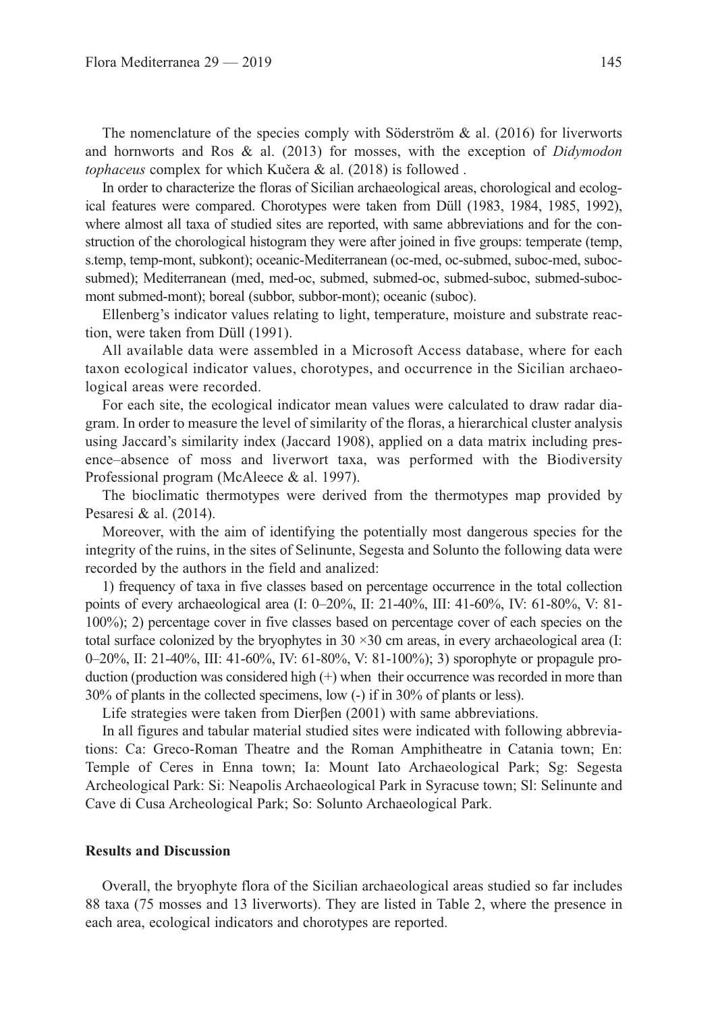The nomenclature of the species comply with Söderström  $\&$  al. (2016) for liverworts and hornworts and Ros & al. (2013) for mosses, with the exception of *Didymodon tophaceus* complex for which Kučera & al. (2018) is followed .

In order to characterize the floras of Sicilian archaeological areas, chorological and ecological features were compared. Chorotypes were taken from Düll (1983, 1984, 1985, 1992), where almost all taxa of studied sites are reported, with same abbreviations and for the construction of the chorological histogram they were after joined in five groups: temperate (temp, s.temp, temp-mont, subkont); oceanic-Mediterranean (oc-med, oc-submed, suboc-med, subocsubmed); Mediterranean (med, med-oc, submed, submed-oc, submed-suboc, submed-subocmont submed-mont); boreal (subbor, subbor-mont); oceanic (suboc).

Ellenberg's indicator values relating to light, temperature, moisture and substrate reaction, were taken from Düll (1991).

All available data were assembled in a Microsoft Access database, where for each taxon ecological indicator values, chorotypes, and occurrence in the Sicilian archaeological areas were recorded.

For each site, the ecological indicator mean values were calculated to draw radar diagram. In order to measure the level of similarity of the floras, a hierarchical cluster analysis using Jaccard's similarity index (Jaccard 1908), applied on a data matrix including presence–absence of moss and liverwort taxa, was performed with the Biodiversity Professional program (McAleece & al. 1997).

The bioclimatic thermotypes were derived from the thermotypes map provided by Pesaresi & al. (2014).

Moreover, with the aim of identifying the potentially most dangerous species for the integrity of the ruins, in the sites of Selinunte, Segesta and Solunto the following data were recorded by the authors in the field and analized:

1) frequency of taxa in five classes based on percentage occurrence in the total collection points of every archaeological area (I: 0–20%, II: 21-40%, III: 41-60%, IV: 61-80%, V: 81- 100%); 2) percentage cover in five classes based on percentage cover of each species on the total surface colonized by the bryophytes in  $30 \times 30$  cm areas, in every archaeological area (I: 0–20%, II: 21-40%, III: 41-60%, IV: 61-80%, V: 81-100%); 3) sporophyte or propagule production (production was considered high (+) when their occurrence was recorded in more than 30% of plants in the collected specimens, low (-) if in 30% of plants or less).

Life strategies were taken from Dierβen (2001) with same abbreviations.

In all figures and tabular material studied sites were indicated with following abbreviations: Ca: Greco-Roman Theatre and the Roman Amphitheatre in Catania town; En: Temple of Ceres in Enna town; Ia: Mount Iato Archaeological Park; Sg: Segesta Archeological Park: Si: Neapolis Archaeological Park in Syracuse town; Sl: Selinunte and Cave di Cusa Archeological Park; So: Solunto Archaeological Park.

### **Results and Discussion**

Overall, the bryophyte flora of the Sicilian archaeological areas studied so far includes 88 taxa (75 mosses and 13 liverworts). They are listed in Table 2, where the presence in each area, ecological indicators and chorotypes are reported.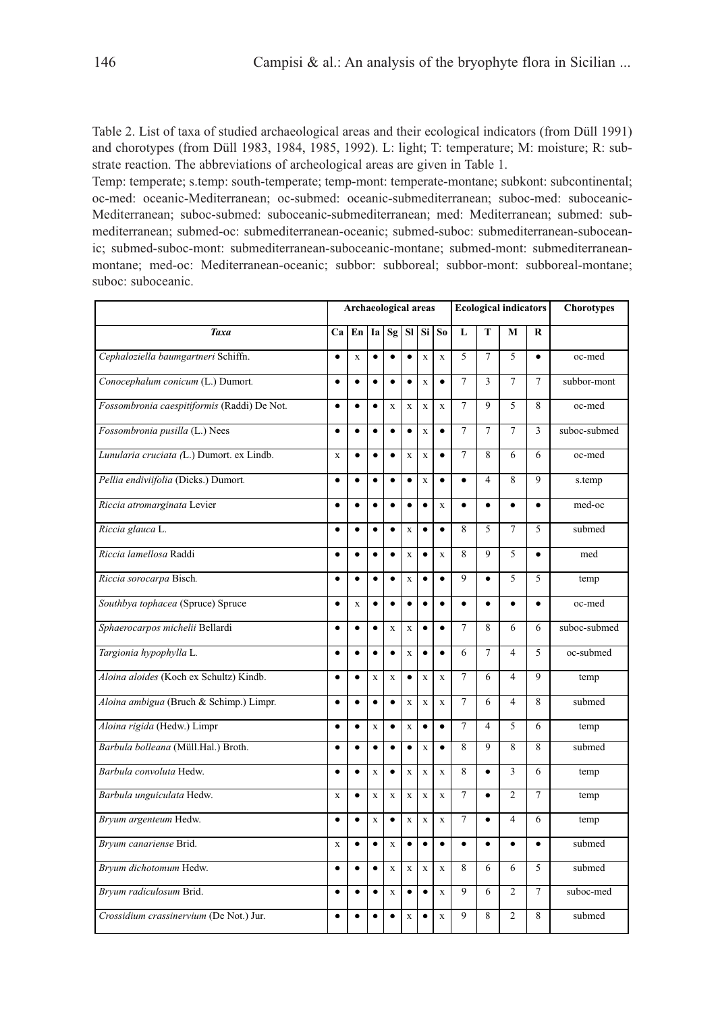Table 2. List of taxa of studied archaeological areas and their ecological indicators (from Düll 1991) and chorotypes (from Düll 1983, 1984, 1985, 1992). L: light; T: temperature; M: moisture; R: substrate reaction. The abbreviations of archeological areas are given in Table 1.

Temp: temperate; s.temp: south-temperate; temp-mont: temperate-montane; subkont: subcontinental; oc-med: oceanic-Mediterranean; oc-submed: oceanic-submediterranean; suboc-med: suboceanic-Mediterranean; suboc-submed: suboceanic-submediterranean; med: Mediterranean; submed: submediterranean; submed-oc: submediterranean-oceanic; submed-suboc: submediterranean-suboceanic; submed-suboc-mont: submediterranean-suboceanic-montane; submed-mont: submediterraneanmontane; med-oc: Mediterranean-oceanic; subbor: subboreal; subbor-mont: subboreal-montane; suboc: suboceanic.

|                                             |             | Archaeological areas |              |              |                    |              |              |                |                | <b>Ecological indicators</b> | <b>Chorotypes</b> |              |
|---------------------------------------------|-------------|----------------------|--------------|--------------|--------------------|--------------|--------------|----------------|----------------|------------------------------|-------------------|--------------|
| Taxa                                        | Ca          | En                   | Ia           | Sg           | Sl                 | Si           | So           | L              | т              | M                            | R                 |              |
| Cephaloziella baumgartneri Schiffn.         | $\bullet$   | $\bf x$              | $\bullet$    | ٠            | $\bullet$          | $\bf x$      | $\bf x$      | 5              | $\overline{7}$ | 5                            | $\bullet$         | oc-med       |
| Conocephalum conicum (L.) Dumort.           | $\bullet$   | $\bullet$            | $\bullet$    | $\bullet$    | $\bullet$          | $\bar{x}$    | $\bullet$    | $\tau$         | 3              | $\overline{7}$               | $\overline{7}$    | subbor-mont  |
| Fossombronia caespitiformis (Raddi) De Not. | $\bullet$   | $\bullet$            | $\bullet$    | $\mathbf x$  | $\mathbf x$        | $\mathbf x$  | X            | 7              | 9              | 5                            | 8                 | oc-med       |
| Fossombronia pusilla (L.) Nees              | $\bullet$   | $\bullet$            | $\bullet$    | $\bullet$    | $\bullet$          | $\bf x$      | $\bullet$    | $\overline{7}$ | $\overline{7}$ | $\overline{7}$               | 3                 | suboc-submed |
| Lunularia cruciata (L.) Dumort. ex Lindb.   | $\mathbf x$ | $\bullet$            | $\bullet$    | $\bullet$    | $\bar{x}$          | $\bf x$      | $\bullet$    | 7              | 8              | 6                            | 6                 | oc-med       |
| Pellia endiviifolia (Dicks.) Dumort.        | $\bullet$   | $\bullet$            | $\bullet$    | $\bullet$    | $\bullet$          | $\mathbf x$  | $\bullet$    | $\bullet$      | $\overline{4}$ | 8                            | 9                 | s.temp       |
| Riccia atromarginata Levier                 | $\bullet$   | $\bullet$            | $\bullet$    | $\bullet$    | $\bullet$          | $\bullet$    | $\mathbf x$  | $\bullet$      | $\bullet$      | $\bullet$                    | $\bullet$         | med-oc       |
| Riccia glauca L.                            | $\bullet$   | $\bullet$            | $\bullet$    | $\bullet$    | $\bar{x}$          | $\bullet$    | $\bullet$    | 8              | 5              | $\tau$                       | 5                 | submed       |
| Riccia lamellosa Raddi                      | $\bullet$   | $\bullet$            | $\bullet$    | $\bullet$    | $\bar{\mathbf{x}}$ | $\bullet$    | $\bar{x}$    | 8              | 9              | 5                            | $\bullet$         | med          |
| Riccia sorocarpa Bisch.                     | $\bullet$   | $\bullet$            | $\bullet$    | $\bullet$    | $\bar{x}$          | $\bullet$    | $\bullet$    | 9              | $\bullet$      | 5                            | 5                 | temp         |
| Southbya tophacea (Spruce) Spruce           | $\bullet$   | $\bf x$              | $\bullet$    | $\bullet$    | $\bullet$          | $\bullet$    | $\bullet$    | $\bullet$      | $\bullet$      | $\bullet$                    | $\bullet$         | oc-med       |
| Sphaerocarpos michelii Bellardi             | $\bullet$   | $\bullet$            | $\bullet$    | $\mathbf x$  | $\bar{\mathbf{x}}$ | $\bullet$    | $\bullet$    | $\overline{7}$ | 8              | 6                            | 6                 | suboc-submed |
| Targionia hypophylla L.                     | $\bullet$   | $\bullet$            | $\bullet$    | $\bullet$    | $\mathbf x$        | $\bullet$    | $\bullet$    | 6              | $\overline{7}$ | $\overline{4}$               | 5                 | oc-submed    |
| Aloina aloides (Koch ex Schultz) Kindb.     | $\bullet$   | $\bullet$            | $\mathbf{x}$ | $\bf{x}$     | $\bullet$          | $\bf x$      | $\mathbf x$  | $\overline{7}$ | 6              | $\overline{4}$               | $\mathbf Q$       | temp         |
| Aloina ambigua (Bruch & Schimp.) Limpr.     | $\bullet$   | $\bullet$            | $\bullet$    | $\bullet$    | $\bar{x}$          | $\bf x$      | $\bar{x}$    | $\tau$         | 6              | $\overline{4}$               | 8                 | submed       |
| Aloina rigida (Hedw.) Limpr                 | $\bullet$   | $\bullet$            | $\mathbf x$  | $\bullet$    | $\mathbf x$        | $\bullet$    | $\bullet$    | $\tau$         | $\overline{4}$ | 5                            | 6                 | temp         |
| Barbula bolleana (Müll.Hal.) Broth.         | $\bullet$   | $\bullet$            | $\bullet$    | $\bullet$    | $\bullet$          | $\mathbf{x}$ | $\bullet$    | 8              | $\overline{9}$ | 8                            | 8                 | submed       |
| Barbula convoluta Hedw.                     | $\bullet$   | $\bullet$            | $\mathbf x$  | $\bullet$    | $\mathbf{x}$       | $\mathbf x$  | $\mathbf{x}$ | 8              | $\bullet$      | 3                            | 6                 | temp         |
| Barbula unguiculata Hedw.                   | $\mathbf x$ | $\bullet$            | $\mathbf{x}$ | $\mathbf x$  | $\mathbf{x}$       | $\mathbf x$  | X            | $\overline{7}$ | $\bullet$      | $\overline{2}$               | $\overline{7}$    | temp         |
| Bryum argenteum Hedw.                       | $\bullet$   | $\bullet$            | $\mathbf{x}$ | $\bullet$    | $\mathbf x$        | $\mathbf x$  | X            | 7              | $\bullet$      | $\overline{4}$               | 6                 | temp         |
| Bryum canariense Brid.                      | $\mathbf x$ | ٠                    | $\bullet$    | $\mathbf{x}$ | $\bullet$          | $\bullet$    | $\bullet$    | ٠              | $\bullet$      | $\bullet$                    | $\bullet$         | submed       |
| Bryum dichotomum Hedw.                      | $\bullet$   | $\bullet$            | $\bullet$    | $\mathbf{x}$ | $\mathbf{x}$       | $\bf{x}$     | $\mathbf x$  | 8              | 6              | 6                            | 5                 | submed       |
| Bryum radiculosum Brid.                     | $\bullet$   | $\bullet$            | $\bullet$    | $\mathbf{x}$ | $\bullet$          | $\bullet$    | $\mathbf{x}$ | 9              | 6              | $\overline{c}$               | 7                 | suboc-med    |
| Crossidium crassinervium (De Not.) Jur.     | ٠           | ٠                    | $\bullet$    | $\bullet$    | $\mathbf{x}$       | $\bullet$    | $\mathbf x$  | 9              | 8              | $\overline{2}$               | 8                 | submed       |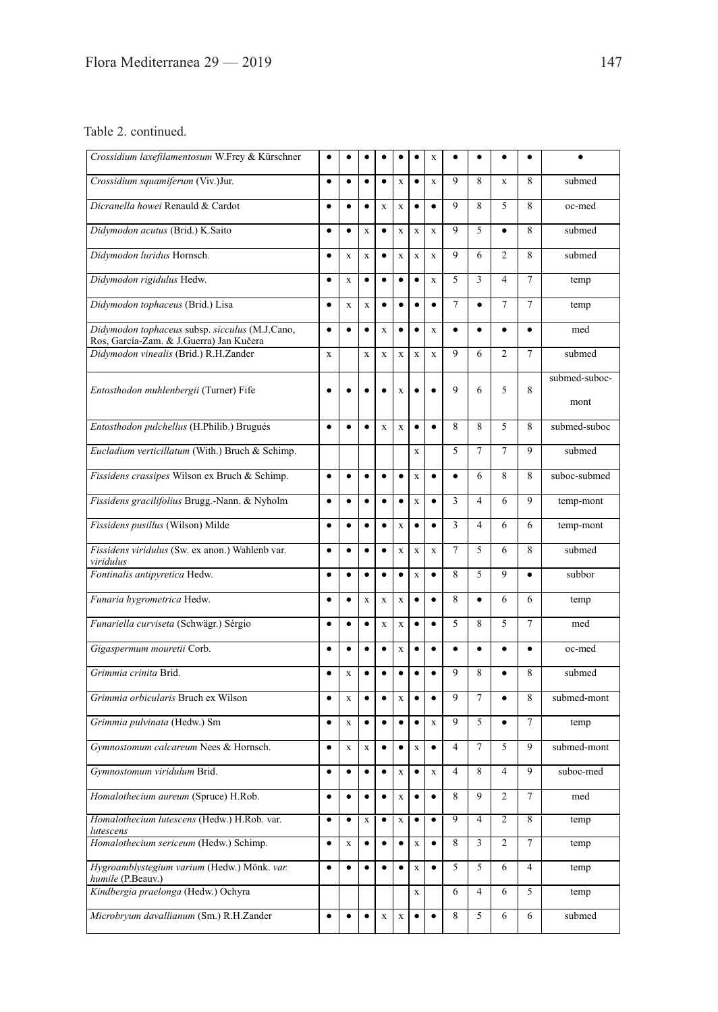## Table 2. continued.

| Crossidium laxefilamentosum W.Frey & Kürschner                                            | ٠           |             |             |             |             | ٠           | X           | ٠              |                | ٠              | ٠              |                       |
|-------------------------------------------------------------------------------------------|-------------|-------------|-------------|-------------|-------------|-------------|-------------|----------------|----------------|----------------|----------------|-----------------------|
| Crossidium squamiferum (Viv.)Jur.                                                         | $\bullet$   | $\bullet$   | $\bullet$   | $\bullet$   | $\mathbf x$ | $\bullet$   | $\mathbf x$ | 9              | 8              | X              | 8              | submed                |
| Dicranella howei Renauld & Cardot                                                         | $\bullet$   | $\bullet$   | $\bullet$   | X           | $\mathbf x$ | $\bullet$   | $\bullet$   | 9              | 8              | 5              | 8              | oc-med                |
| Didymodon acutus (Brid.) K.Saito                                                          | $\bullet$   | $\bullet$   | $\mathbf x$ | $\bullet$   | $\mathbf x$ | $\mathbf x$ | X           | 9              | 5              | $\bullet$      | 8              | submed                |
| Didymodon luridus Hornsch.                                                                | $\bullet$   | $\mathbf x$ | $\mathbf x$ | $\bullet$   | $\mathbf x$ | $\mathbf x$ | $\bf{x}$    | 9              | 6              | $\overline{2}$ | 8              | submed                |
| Didymodon rigidulus Hedw.                                                                 | $\bullet$   | $\mathbf x$ | $\bullet$   | $\bullet$   | $\bullet$   | $\bullet$   | $\mathbf x$ | 5              | 3              | $\overline{4}$ | $\tau$         | temp                  |
| Didymodon tophaceus (Brid.) Lisa                                                          | $\bullet$   | $\mathbf x$ | $\mathbf x$ | $\bullet$   | $\bullet$   | $\bullet$   | $\bullet$   | 7              | $\bullet$      | $\overline{7}$ | $\overline{7}$ | temp                  |
| Didymodon tophaceus subsp. sicculus (M.J.Cano,<br>Ros, García-Zam. & J.Guerra) Jan Kučera | $\bullet$   | $\bullet$   | $\bullet$   | X           | $\bullet$   | $\bullet$   | $\bf{X}$    | $\bullet$      | $\bullet$      | $\bullet$      | $\bullet$      | med                   |
| Didymodon vinealis (Brid.) R.H.Zander                                                     | $\mathbf x$ |             | $\bf{x}$    | X           | $\mathbf x$ | $\bf{x}$    | $\bf{X}$    | 9              | 6              | $\overline{2}$ | $\tau$         | submed                |
| Entosthodon muhlenbergii (Turner) Fife                                                    | $\bullet$   |             |             |             | $\mathbf x$ | ó           | $\bullet$   | 9              | 6              | 5              | 8              | submed-suboc-<br>mont |
| Entosthodon pulchellus (H.Philib.) Brugués                                                | $\bullet$   |             | $\bullet$   | $\mathbf x$ | $\mathbf x$ | $\bullet$   | $\bullet$   | 8              | 8              | 5              | 8              | submed-suboc          |
| Eucladium verticillatum (With.) Bruch & Schimp.                                           |             |             |             |             |             | $\mathbf x$ |             | 5              | $\overline{7}$ | 7              | 9              | submed                |
| Fissidens crassipes Wilson ex Bruch & Schimp.                                             | $\bullet$   | $\bullet$   | $\bullet$   | $\bullet$   | $\bullet$   | $\mathbf x$ | $\bullet$   | $\bullet$      | 6              | 8              | 8              | suboc-submed          |
| Fissidens gracilifolius Brugg.-Nann. & Nyholm                                             | $\bullet$   | $\bullet$   | $\bullet$   | $\bullet$   | $\bullet$   | $\mathbf x$ | $\bullet$   | 3              | $\overline{4}$ | 6              | $\mathbf{Q}$   | temp-mont             |
| Fissidens pusillus (Wilson) Milde                                                         | $\bullet$   | $\bullet$   | $\bullet$   | $\bullet$   | $\mathbf x$ | $\bullet$   | $\bullet$   | 3              | $\overline{4}$ | 6              | 6              | temp-mont             |
| Fissidens viridulus (Sw. ex anon.) Wahlenb var.<br>viridulus                              | $\bullet$   | $\bullet$   | $\bullet$   | $\bullet$   | $\mathbf x$ | $\mathbf x$ | $\bf{x}$    | $\tau$         | 5              | 6              | 8              | submed                |
| Fontinalis antipyretica Hedw.                                                             | $\bullet$   | $\bullet$   | $\bullet$   | $\bullet$   | $\bullet$   | $\mathbf x$ | $\bullet$   | 8              | 5              | 9              | $\bullet$      | subbor                |
| Funaria hygrometrica Hedw.                                                                | $\bullet$   | $\bullet$   | $\mathbf x$ | X           | $\mathbf x$ | $\bullet$   | $\bullet$   | 8              | $\bullet$      | 6              | 6              | temp                  |
| Funariella curviseta (Schwägr.) Sérgio                                                    | $\bullet$   | $\bullet$   | $\bullet$   | $\mathbf x$ | $\mathbf x$ | $\bullet$   | $\bullet$   | 5              | 8              | 5              | $\overline{7}$ | med                   |
| Gigaspermum mouretii Corb.                                                                | $\bullet$   | ٠           | $\bullet$   | $\bullet$   | $\mathbf x$ | $\bullet$   | ٠           | ٠              | $\bullet$      | $\bullet$      | $\bullet$      | oc-med                |
| Grimmia crinita Brid.                                                                     | $\bullet$   | $\mathbf x$ | $\bullet$   | $\bullet$   | $\bullet$   | $\bullet$   | $\bullet$   | 9              | 8              | $\bullet$      | 8              | submed                |
| Grimmia orbicularis Bruch ex Wilson                                                       | $\bullet$   | $\mathbf x$ | $\bullet$   | $\bullet$   | $\mathbf x$ | $\bullet$   | $\bullet$   | 9              | 7              | $\bullet$      | 8              | submed-mont           |
| Grimmia pulvinata (Hedw.) Sm                                                              | $\bullet$   | $\mathbf x$ | $\bullet$   | $\bullet$   | $\bullet$   | $\bullet$   | $\bf x$     | 9              | 5              | $\bullet$      | 7              | temp                  |
| Gymnostomum calcareum Nees & Hornsch.                                                     | $\bullet$   | $\mathbf x$ | $\mathbf x$ | $\bullet$   | $\bullet$   | $\mathbf x$ | $\bullet$   | 4              | $\overline{7}$ | 5              | 9              | submed-mont           |
| Gymnostomum viridulum Brid.                                                               | $\bullet$   | $\bullet$   | $\bullet$   | $\bullet$   | $\mathbf x$ | $\bullet$   | $\bf{X}$    | $\overline{4}$ | 8              | $\overline{4}$ | 9              | suboc-med             |
| Homalothecium aureum (Spruce) H.Rob.                                                      | $\bullet$   | $\bullet$   | $\bullet$   | $\bullet$   | $\mathbf x$ | $\bullet$   | $\bullet$   | 8              | 9              | $\overline{2}$ | 7              | med                   |
| <i>Homalothecium lutescens</i> (Hedw.) H.Rob. var.<br>lutescens                           |             |             | х           |             | х           |             |             |                | 4              | 2              | 8              | temp                  |
| Homalothecium sericeum (Hedw.) Schimp.                                                    | $\bullet$   | x           | $\bullet$   | $\bullet$   | $\bullet$   | $\mathbf x$ | $\bullet$   | 8              | 3              | 2              | 7              | temp                  |
| Hygroamblystegium varium (Hedw.) Mönk. var.<br>humile (P.Beauv.)                          | $\bullet$   | $\bullet$   | $\bullet$   |             | ٠           | $\mathbf x$ | $\bullet$   | 5              | 5              | 6              | $\overline{4}$ | temp                  |
| Kindbergia praelonga (Hedw.) Ochyra                                                       |             |             |             |             |             | $\mathbf x$ |             | 6              | 4              | 6              | 5              | temp                  |
| Microbryum davallianum (Sm.) R.H.Zander                                                   | ٠           |             | $\bullet$   | $\mathbf x$ | $\mathbf x$ | $\bullet$   | $\bullet$   | 8              | 5              | 6              | 6              | submed                |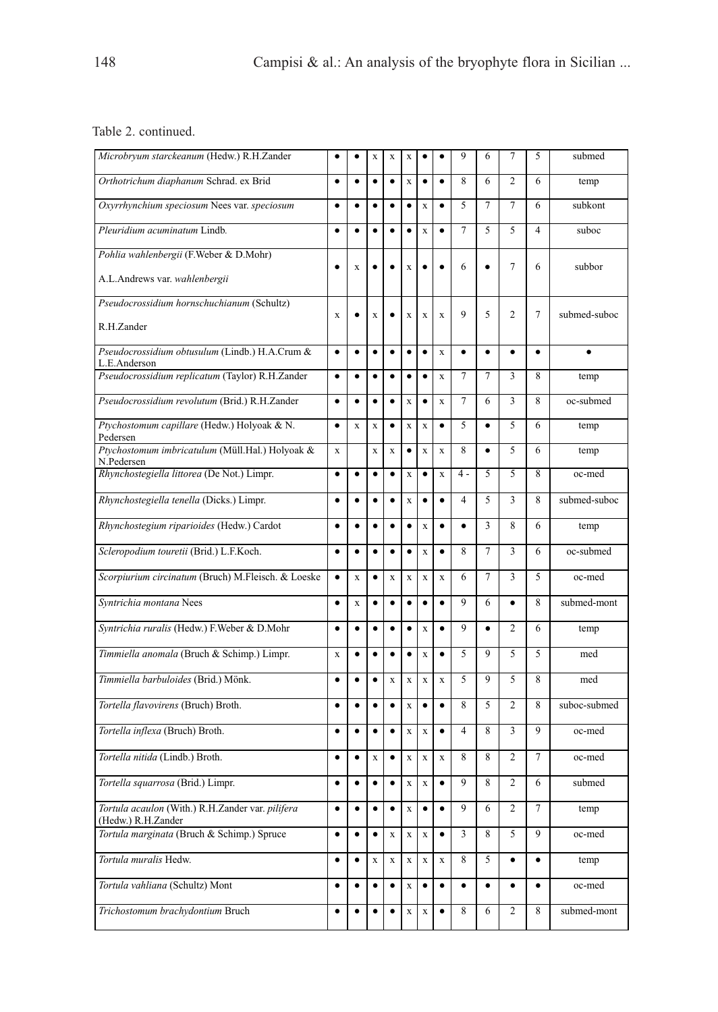## Table 2. continued.

| Microbryum starckeanum (Hedw.) R.H.Zander                        | ٠           | ٠           | X           | X           | $\mathbf x$ | ٠           | ٠           | 9              | 6         | $\overline{7}$ | 5              | submed       |
|------------------------------------------------------------------|-------------|-------------|-------------|-------------|-------------|-------------|-------------|----------------|-----------|----------------|----------------|--------------|
| Orthotrichum diaphanum Schrad. ex Brid                           | $\bullet$   | $\bullet$   | $\bullet$   | $\bullet$   | X           | $\bullet$   | $\bullet$   | 8              | 6         | $\overline{2}$ | 6              | temp         |
| Oxyrrhynchium speciosum Nees var. speciosum                      | ٠           | $\bullet$   | $\bullet$   | $\bullet$   | $\bullet$   | $\mathbf x$ | $\bullet$   | 5              | 7         | 7              | 6              | subkont      |
| Pleuridium acuminatum Lindb.                                     | $\bullet$   | $\bullet$   | $\bullet$   | $\bullet$   | $\bullet$   | $\bf{X}$    | $\bullet$   | 7              | 5         | 5              | $\overline{4}$ | suboc        |
| Pohlia wahlenbergii (F. Weber & D. Mohr)                         | ٠           | $\mathbf x$ | ٠           |             | X           | $\bullet$   | ٠           | 6              |           | 7              | 6              | subbor       |
| A.L.Andrews var. wahlenbergii                                    |             |             |             |             |             |             |             |                |           |                |                |              |
| Pseudocrossidium hornschuchianum (Schultz)                       | $\mathbf x$ | ٠           | X           |             | X           | $\mathbf x$ | X           | 9              | 5         | $\overline{2}$ | 7              | submed-suboc |
| R.H.Zander                                                       |             |             |             |             |             |             |             |                |           |                |                |              |
| Pseudocrossidium obtusulum (Lindb.) H.A.Crum &<br>L.E.Anderson   | $\bullet$   | ٠           | $\bullet$   | ٠           | $\bullet$   | $\bullet$   | $\mathbf x$ | ٠              | ٠         | ٠              | $\bullet$      |              |
| Pseudocrossidium replicatum (Taylor) R.H.Zander                  | $\bullet$   | ٠           | $\bullet$   | ٠           | $\bullet$   | ٠           | $\mathbf x$ | 7              | 7         | 3              | 8              | temp         |
| Pseudocrossidium revolutum (Brid.) R.H.Zander                    | $\bullet$   | $\bullet$   | $\bullet$   | $\bullet$   | $\mathbf x$ | $\bullet$   | $\mathbf x$ | $\overline{7}$ | 6         | 3              | 8              | oc-submed    |
| Ptychostomum capillare (Hedw.) Holyoak & N.<br>Pedersen          | $\bullet$   | X           | X           | $\bullet$   | $\mathbf x$ | $\mathbf x$ | $\bullet$   | 5              | $\bullet$ | 5              | 6              | temp         |
| Ptychostomum imbricatulum (Müll.Hal.) Holyoak &<br>N.Pedersen    | $\mathbf x$ |             | X           | $\mathbf x$ | ٠           | $\bf{X}$    | X           | 8              | $\bullet$ | 5              | 6              | temp         |
| Rhynchostegiella littorea (De Not.) Limpr.                       | $\bullet$   | $\bullet$   | $\bullet$   | $\bullet$   | $\mathbf x$ | $\bullet$   | $\mathbf X$ | $4 -$          | 5         | 5              | 8              | oc-med       |
| Rhynchostegiella tenella (Dicks.) Limpr.                         | $\bullet$   | $\bullet$   | $\bullet$   | $\bullet$   | X           | $\bullet$   | $\bullet$   | $\overline{4}$ | 5         | 3              | 8              | submed-suboc |
| Rhynchostegium riparioides (Hedw.) Cardot                        | $\bullet$   | $\bullet$   | $\bullet$   | $\bullet$   | $\bullet$   | X           | $\bullet$   | $\bullet$      | 3         | 8              | 6              | temp         |
| Scleropodium touretii (Brid.) L.F.Koch.                          | $\bullet$   | $\bullet$   | ٠           | ٠           | $\bullet$   | X           | $\bullet$   | 8              | 7         | 3              | 6              | oc-submed    |
| Scorpiurium circinatum (Bruch) M.Fleisch. & Loeske               | $\bullet$   | X           | $\bullet$   | X           | $\mathbf x$ | X           | $\mathbf x$ | 6              | 7         | 3              | 5              | oc-med       |
| Syntrichia montana Nees                                          | $\bullet$   | $\mathbf x$ | ٠           | ٠           | ٠           | ٠           | ٠           | 9              | 6         | $\bullet$      | 8              | submed-mont  |
| Syntrichia ruralis (Hedw.) F.Weber & D.Mohr                      | $\bullet$   | ٠           | ٠           | $\bullet$   | ٠           | X           | ٠           | 9              | $\bullet$ | 2              | 6              | temp         |
| Timmiella anomala (Bruch & Schimp.) Limpr.                       | X           | $\bullet$   | ٠           | $\bullet$   | $\bullet$   | X           | $\bullet$   | 5              | 9         | 5              | 5              | med          |
| Timmiella barbuloides (Brid.) Mönk.                              | ٠           | ٠           | $\bullet$   | $\mathbf x$ | X           | X           | X           | 5              | 9         | 5              | 8              | med          |
| Tortella flavovirens (Bruch) Broth.                              | $\bullet$   | $\bullet$   | $\bullet$   | $\bullet$   | X           | $\bullet$   | $\bullet$   | 8              | 5         | 2              | 8              | suboc-submed |
| Tortella inflexa (Bruch) Broth.                                  | $\bullet$   | $\bullet$   | $\bullet$   | $\bullet$   | $\mathbf x$ | $\mathbf X$ | $\bullet$   | $\overline{4}$ | 8         | 3              | 9              | oc-med       |
| Tortella nitida (Lindb.) Broth.                                  | $\bullet$   | $\bullet$   | X           | $\bullet$   | X           | X           | X           | 8              | 8         | $\overline{2}$ | 7              | oc-med       |
| Tortella squarrosa (Brid.) Limpr.                                | $\bullet$   | $\bullet$   | ٠           | $\bullet$   | X           | X           | ٠           | 9              | 8         | $\overline{2}$ | 6              | submed       |
| Tortula acaulon (With.) R.H.Zander var. pilifera                 | $\bullet$   | $\bullet$   | $\bullet$   | $\bullet$   | $\mathbf x$ | $\bullet$   | $\bullet$   | 9              | 6         | $\overline{2}$ | 7              | temp         |
| (Hedw.) R.H.Zander<br>Tortula marginata (Bruch & Schimp.) Spruce | $\bullet$   | ٠           | ٠           | $\mathbf x$ | x           | $\mathbf x$ | ٠           | 3              | 8         | 5              | 9              | oc-med       |
| Tortula muralis Hedw.                                            | $\bullet$   |             | $\mathbf X$ | X           | x           | $\mathbf x$ | $\mathbf X$ | 8              | 5         | ٠              | $\bullet$      | temp         |
| Tortula vahliana (Schultz) Mont                                  | $\bullet$   |             | $\bullet$   |             | $\mathbf x$ | $\bullet$   | $\bullet$   |                | ٠         | ٠              | $\bullet$      | oc-med       |
| Trichostomum brachydontium Bruch                                 | ٠           |             | ٠           | ٠           | x           | $\mathbf x$ | $\bullet$   | 8              | 6         | 2              | 8              | submed-mont  |
|                                                                  |             |             |             |             |             |             |             |                |           |                |                |              |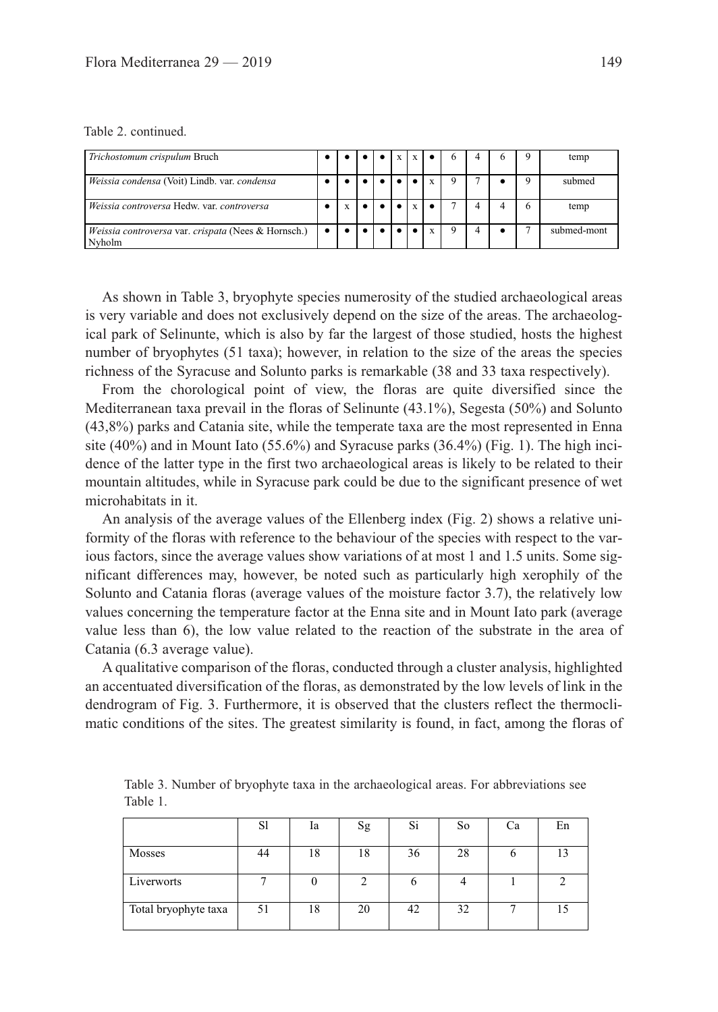#### Table 2. continued.

| Trichostomum crispulum Bruch                                  |  |  | X | $\mathbf{x}$ |   |  | a | temp        |
|---------------------------------------------------------------|--|--|---|--------------|---|--|---|-------------|
| Weissia condensa (Voit) Lindb. var. condensa                  |  |  |   |              | X |  | Q | submed      |
| Weissia controversa Hedw. var. controversa                    |  |  |   | x            |   |  | 6 | temp        |
| Weissia controversa var. crispata (Nees & Hornsch.)<br>Nyholm |  |  |   |              | X |  |   | submed-mont |

As shown in Table 3, bryophyte species numerosity of the studied archaeological areas is very variable and does not exclusively depend on the size of the areas. The archaeological park of Selinunte, which is also by far the largest of those studied, hosts the highest number of bryophytes (51 taxa); however, in relation to the size of the areas the species richness of the Syracuse and Solunto parks is remarkable (38 and 33 taxa respectively).

From the chorological point of view, the floras are quite diversified since the Mediterranean taxa prevail in the floras of Selinunte (43.1%), Segesta (50%) and Solunto (43,8%) parks and Catania site, while the temperate taxa are the most represented in Enna site (40%) and in Mount Iato (55.6%) and Syracuse parks (36.4%) (Fig. 1). The high incidence of the latter type in the first two archaeological areas is likely to be related to their mountain altitudes, while in Syracuse park could be due to the significant presence of wet microhabitats in it.

An analysis of the average values of the Ellenberg index (Fig. 2) shows a relative uniformity of the floras with reference to the behaviour of the species with respect to the various factors, since the average values show variations of at most 1 and 1.5 units. Some significant differences may, however, be noted such as particularly high xerophily of the Solunto and Catania floras (average values of the moisture factor 3.7), the relatively low values concerning the temperature factor at the Enna site and in Mount Iato park (average value less than 6), the low value related to the reaction of the substrate in the area of Catania (6.3 average value).

A qualitative comparison of the floras, conducted through a cluster analysis, highlighted an accentuated diversification of the floras, as demonstrated by the low levels of link in the dendrogram of Fig. 3. Furthermore, it is observed that the clusters reflect the thermoclimatic conditions of the sites. The greatest similarity is found, in fact, among the floras of

|                      | S1 | 1a | Sg | Si | So | Ca | En |
|----------------------|----|----|----|----|----|----|----|
| Mosses               | 44 | 18 | 18 | 36 | 28 |    | 13 |
| Liverworts           |    |    |    |    |    |    |    |
| Total bryophyte taxa | 51 | 18 | 20 | 42 | 32 |    |    |

Table 3. Number of bryophyte taxa in the archaeological areas. For abbreviations see Table 1.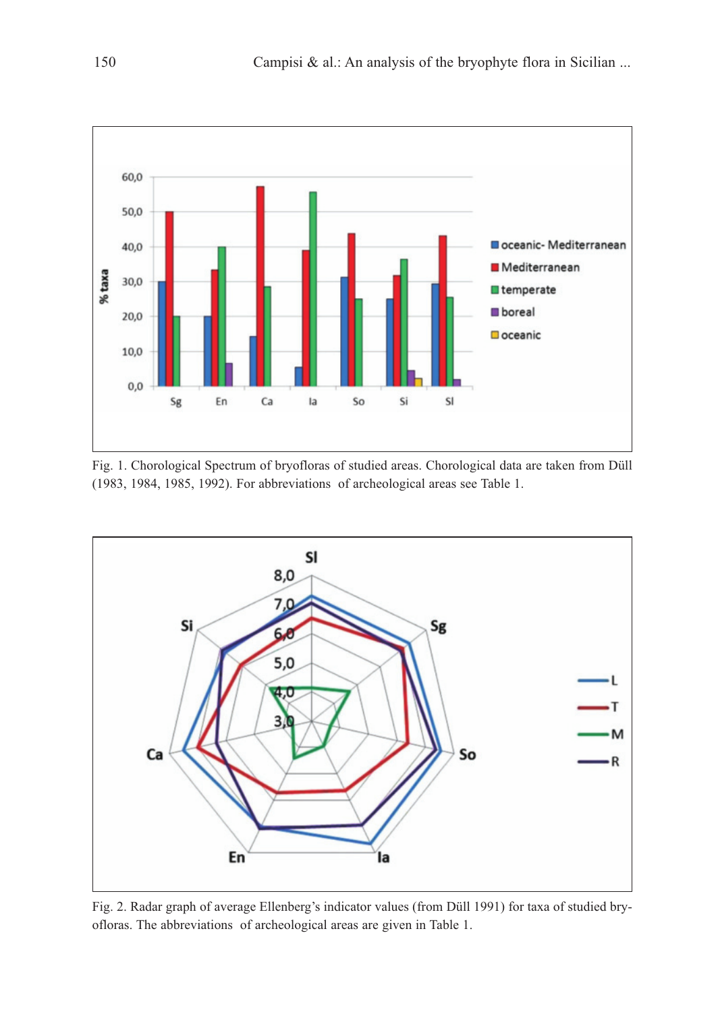

Fig. 1. Chorological Spectrum of bryofloras of studied areas. Chorological data are taken from Düll (1983, 1984, 1985, 1992). For abbreviations of archeological areas see Table 1.



Fig. 2. Radar graph of average Ellenberg's indicator values (from Düll 1991) for taxa of studied bryofloras. The abbreviations of archeological areas are given in Table 1.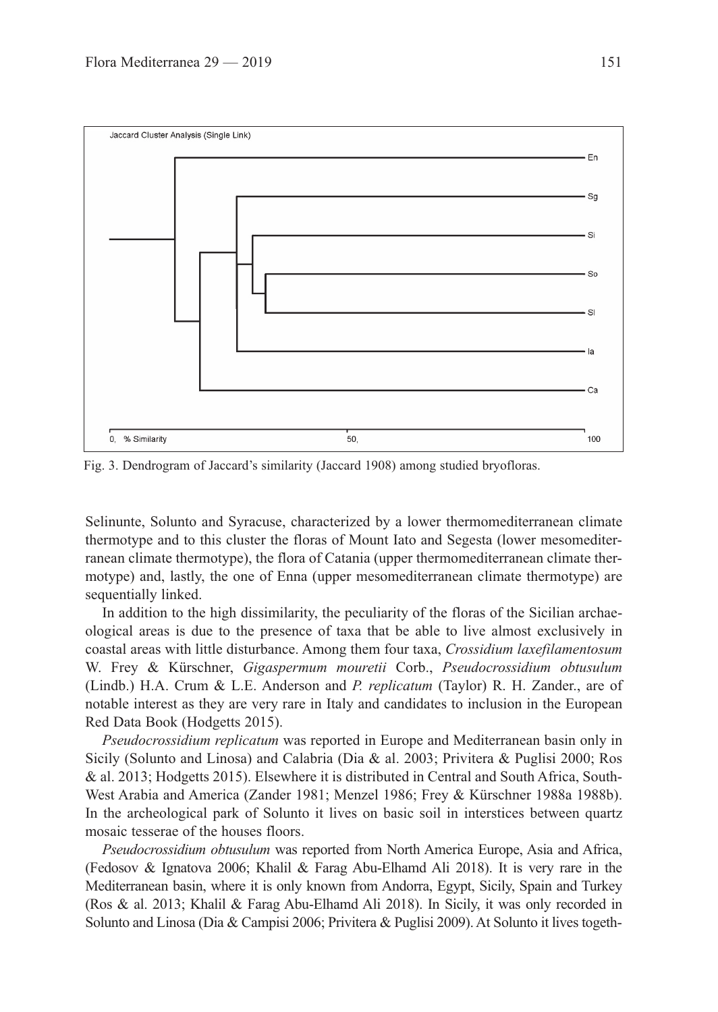

Fig. 3. Dendrogram of Jaccard's similarity (Jaccard 1908) among studied bryofloras.

Selinunte, Solunto and Syracuse, characterized by a lower thermomediterranean climate thermotype and to this cluster the floras of Mount Iato and Segesta (lower mesomediterranean climate thermotype), the flora of Catania (upper thermomediterranean climate thermotype) and, lastly, the one of Enna (upper mesomediterranean climate thermotype) are sequentially linked.

In addition to the high dissimilarity, the peculiarity of the floras of the Sicilian archaeological areas is due to the presence of taxa that be able to live almost exclusively in coastal areas with little disturbance. Among them four taxa, *Crossidium laxefilamentosum* W. Frey & Kürschner, *Gigaspermum mouretii* Corb., *Pseudocrossidium obtusulum* (Lindb.) H.A. Crum & L.E. Anderson and *P. replicatum* (Taylor) R. H. Zander., are of notable interest as they are very rare in Italy and candidates to inclusion in the European Red Data Book (Hodgetts 2015).

*Pseudocrossidium replicatum* was reported in Europe and Mediterranean basin only in Sicily (Solunto and Linosa) and Calabria (Dia & al. 2003; Privitera & Puglisi 2000; Ros & al. 2013; Hodgetts 2015). Elsewhere it is distributed in Central and South Africa, South-West Arabia and America (Zander 1981; Menzel 1986; Frey & Kürschner 1988a 1988b). In the archeological park of Solunto it lives on basic soil in interstices between quartz mosaic tesserae of the houses floors.

*Pseudocrossidium obtusulum* was reported from North America Europe, Asia and Africa, (Fedosov & Ignatova 2006; Khalil & Farag Abu-Elhamd Ali 2018). It is very rare in the Mediterranean basin, where it is only known from Andorra, Egypt, Sicily, Spain and Turkey (Ros & al. 2013; Khalil & Farag Abu-Elhamd Ali 2018). In Sicily, it was only recorded in Solunto and Linosa (Dia & Campisi 2006; Privitera & Puglisi 2009). At Solunto it lives togeth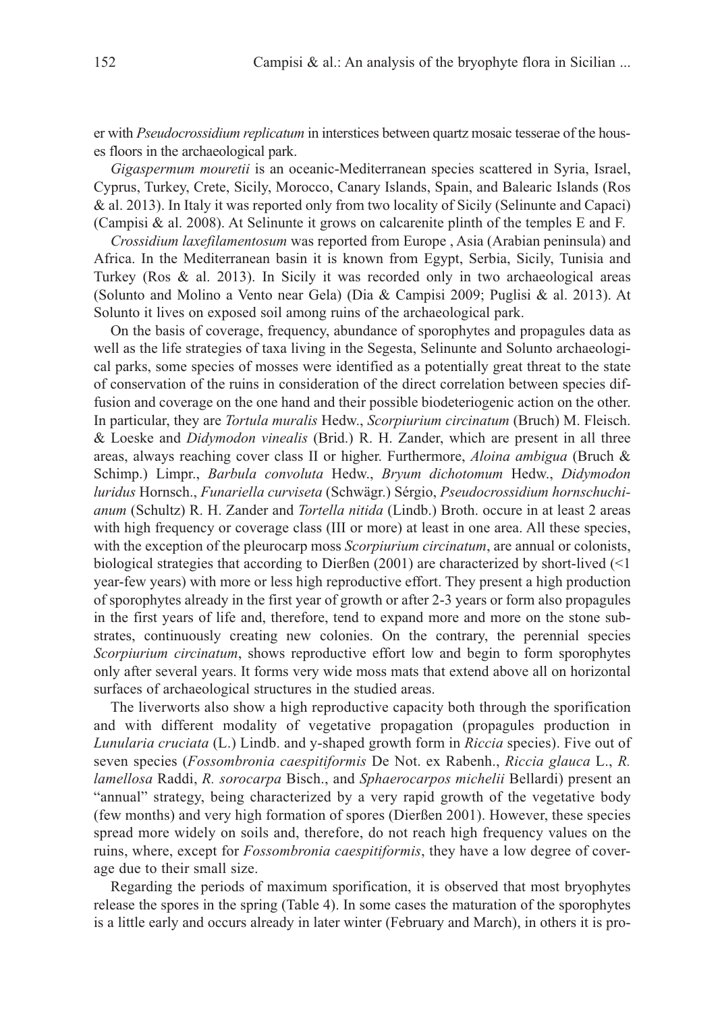er with *Pseudocrossidium replicatum* in interstices between quartz mosaic tesserae of the houses floors in the archaeological park.

*Gigaspermum mouretii* is an oceanic-Mediterranean species scattered in Syria, Israel, Cyprus, Turkey, Crete, Sicily, Morocco, Canary Islands, Spain, and Balearic Islands (Ros & al. 2013). In Italy it was reported only from two locality of Sicily (Selinunte and Capaci) (Campisi & al. 2008). At Selinunte it grows on calcarenite plinth of the temples E and F.

*Crossidium laxefilamentosum* was reported from Europe , Asia (Arabian peninsula) and Africa. In the Mediterranean basin it is known from Egypt, Serbia, Sicily, Tunisia and Turkey (Ros & al. 2013). In Sicily it was recorded only in two archaeological areas (Solunto and Molino a Vento near Gela) (Dia & Campisi 2009; Puglisi & al. 2013). At Solunto it lives on exposed soil among ruins of the archaeological park.

On the basis of coverage, frequency, abundance of sporophytes and propagules data as well as the life strategies of taxa living in the Segesta, Selinunte and Solunto archaeological parks, some species of mosses were identified as a potentially great threat to the state of conservation of the ruins in consideration of the direct correlation between species diffusion and coverage on the one hand and their possible biodeteriogenic action on the other. In particular, they are *Tortula muralis* Hedw., *Scorpiurium circinatum* (Bruch) M. Fleisch. & Loeske and *Didymodon vinealis* (Brid.) R. H. Zander, which are present in all three areas, always reaching cover class II or higher. Furthermore, *Aloina ambigua* (Bruch & Schimp.) Limpr., *Barbula convoluta* Hedw., *Bryum dichotomum* Hedw., *Didymodon luridus* Hornsch., *Funariella curviseta* (Schwägr.) Sérgio, *Pseudocrossidium hornschuchianum* (Schultz) R. H. Zander and *Tortella nitida* (Lindb.) Broth. occure in at least 2 areas with high frequency or coverage class (III or more) at least in one area. All these species, with the exception of the pleurocarp moss *Scorpiurium circinatum*, are annual or colonists, biological strategies that according to Dierßen  $(2001)$  are characterized by short-lived  $\leq 1$ year-few years) with more or less high reproductive effort. They present a high production of sporophytes already in the first year of growth or after 2-3 years or form also propagules in the first years of life and, therefore, tend to expand more and more on the stone substrates, continuously creating new colonies. On the contrary, the perennial species *Scorpiurium circinatum*, shows reproductive effort low and begin to form sporophytes only after several years. It forms very wide moss mats that extend above all on horizontal surfaces of archaeological structures in the studied areas.

The liverworts also show a high reproductive capacity both through the sporification and with different modality of vegetative propagation (propagules production in *Lunularia cruciata* (L.) Lindb. and y-shaped growth form in *Riccia* species). Five out of seven species (*Fossombronia caespitiformis* De Not. ex Rabenh., *Riccia glauca* L., *R. lamellosa* Raddi, *R. sorocarpa* Bisch., and *Sphaerocarpos michelii* Bellardi) present an "annual" strategy, being characterized by a very rapid growth of the vegetative body (few months) and very high formation of spores (Dierßen 2001). However, these species spread more widely on soils and, therefore, do not reach high frequency values on the ruins, where, except for *Fossombronia caespitiformis*, they have a low degree of coverage due to their small size.

Regarding the periods of maximum sporification, it is observed that most bryophytes release the spores in the spring (Table 4). In some cases the maturation of the sporophytes is a little early and occurs already in later winter (February and March), in others it is pro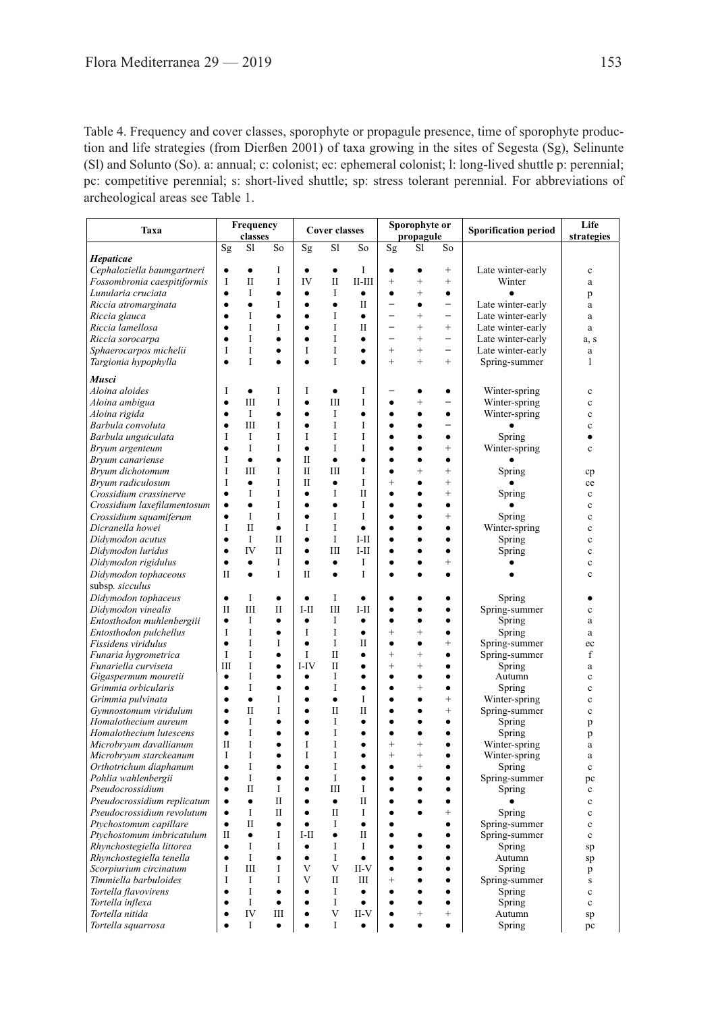Table 4. Frequency and cover classes, sporophyte or propagule presence, time of sporophyte production and life strategies (from Dierßen 2001) of taxa growing in the sites of Segesta (Sg), Selinunte (Sl) and Solunto (So). a: annual; c: colonist; ec: ephemeral colonist; l: long-lived shuttle p: perennial; pc: competitive perennial; s: short-lived shuttle; sp: stress tolerant perennial. For abbreviations of archeological areas see Table 1.

| Taxa                        |              | Frequency<br>classes |             |              | <b>Cover classes</b> |              | Sporophyte or<br>propagule |           |                          | Sporification period | Life<br>strategies |
|-----------------------------|--------------|----------------------|-------------|--------------|----------------------|--------------|----------------------------|-----------|--------------------------|----------------------|--------------------|
|                             | Sg           | S1                   | So          | Sg           | S1                   | So           | Sg                         | S1        | So                       |                      |                    |
| Hepaticae                   |              |                      |             |              |                      |              |                            |           |                          |                      |                    |
| Cephaloziella baumgartneri  | $\bullet$    | $\bullet$            | I           | $\bullet$    | $\bullet$            | L            | $\bullet$                  | $\bullet$ | $\ddot{}$                | Late winter-early    | $\mathbf{c}$       |
| Fossombronia caespitiformis | I            | $_{\rm II}$          | I           | IV           | $\mathbf{I}$         | $II-III$     | $\ddot{}$                  | $^{+}$    | $^{+}$                   | Winter               | $\rm{a}$           |
| Lunularia cruciata          | $\bullet$    | I                    | $\bullet$   | $\bullet$    | I                    | $\bullet$    | $\bullet$                  | $^{+}$    | $\bullet$                |                      | p                  |
| Riccia atromarginata        | $\bullet$    | $\bullet$            | I           | $\bullet$    | $\bullet$            | Π            |                            | $\bullet$ | $\overline{a}$           | Late winter-early    | a                  |
| Riccia glauca               | $\bullet$    | I                    | $\bullet$   | $\bullet$    | I                    | $\bullet$    |                            | $^{+}$    | $\overline{\phantom{0}}$ | Late winter-early    | a                  |
| Riccia lamellosa            | $\bullet$    | I                    | I           | $\bullet$    | I                    | Π            | $\equiv$                   | $^{+}$    | $^{+}$                   | Late winter-early    | a                  |
| Riccia sorocarpa            | $\bullet$    | Ī                    | $\bullet$   | $\bullet$    | L                    | $\bullet$    | $\overline{\phantom{0}}$   | $^{+}$    | $\overline{\phantom{0}}$ | Late winter-early    | a.s                |
| Sphaerocarpos michelii      | I            | I                    | $\bullet$   | I            | I                    | $\bullet$    | $^{+}$                     | $^{+}$    |                          | Late winter-early    | a                  |
| Targionia hypophylla        | $\bullet$    | Ī                    | Ċ           |              | L                    | $\bullet$    | $\ddot{}$                  | $^{+}$    | $\ddot{}$                | Spring-summer        | 1                  |
| Musci                       |              |                      |             |              |                      |              |                            |           |                          |                      |                    |
| Aloina aloides              | I            | $\bullet$            | I           | I            | $\bullet$            | I            |                            | ٠         | ٠                        | Winter-spring        | $\mathbf c$        |
| Aloina ambigua              | $\bullet$    | Ш                    | I           | $\bullet$    | Ш                    | I            | ó                          | $^{+}$    | $\overline{a}$           | Winter-spring        | $\mathbf c$        |
| Aloina rigida               | $\bullet$    | Ι                    | $\bullet$   | $\bullet$    | L                    | $\bullet$    | $\bullet$                  | $\bullet$ | $\bullet$                | Winter-spring        | $\ddot{c}$         |
| Barbula convoluta           | $\bullet$    | IΙI                  | I           | $\bullet$    | $\mathbf{I}$         | I            |                            |           |                          |                      | $\mathbf c$        |
| Barbula unguiculata         | I            | I                    | I           | I            | I                    | I            |                            |           | $\bullet$                | Spring               | ٠                  |
| Bryum argenteum             | $\bullet$    | I                    | I           | $\bullet$    | I                    | I            |                            |           | $^{+}$                   | Winter-spring        | $\mathbf c$        |
| Bryum canariense            | I            | $\bullet$            | $\bullet$   | $\mathbf{H}$ | $\bullet$            | $\bullet$    |                            |           | $\bullet$                |                      |                    |
| Bryum dichotomum            | I            | Ш                    | I           | $_{\rm II}$  | Ш                    | I            | Ċ                          | $\ddot{}$ | $^{+}$                   | Spring               | cp                 |
| Bryum radiculosum           | L            | $\bullet$            | I           | $_{\rm II}$  | $\bullet$            | I            | $^{+}$                     |           | $^{+}$                   |                      | ce                 |
| Crossidium crassinerve      | $\bullet$    | I                    | I           | $\bullet$    | I                    | Π            | ٠                          |           | $^{+}$                   | Spring               | $\mathbf c$        |
| Crossidium laxefilamentosum | $\bullet$    | $\bullet$            | I           | $\bullet$    | $\bullet$            | I            |                            |           | $\bullet$                |                      | $\mathbf c$        |
| Crossidium squamiferum      | $\bullet$    | I                    | I           | $\bullet$    | L                    | I            |                            |           | $^{+}$                   | Spring               | $\mathbf c$        |
| Dicranella howei            | L            | $\mathbf{H}$         | $\bullet$   | I            | L                    | $\bullet$    | $\bullet$                  |           | $\bullet$                | Winter-spring        | $\mathbf{c}$       |
| Didymodon acutus            | $\bullet$    | $\mathbf{I}$         | П           | $\bullet$    | L                    | I-II         |                            |           | $\bullet$                | Spring               | $\mathbf c$        |
| Didymodon luridus           | $\bullet$    | IV                   | $_{\rm II}$ | $\bullet$    | Ш                    | $I-II$       |                            |           | $\bullet$                | Spring               | $\mathbf c$        |
| Didymodon rigidulus         |              | $\bullet$            | I           | $\bullet$    | $\bullet$            | I            | ó                          |           | $^{+}$                   |                      | $\mathbf c$        |
| Didymodon tophaceous        | $_{\rm II}$  | $\bullet$            | I           | Π            | $\bullet$            | I            |                            |           | $\bullet$                |                      | $\ddot{\text{c}}$  |
| subsp. sicculus             |              |                      |             |              |                      |              |                            |           |                          |                      |                    |
| Didymodon tophaceus         | $\bullet$    | I                    | ٠           | $\bullet$    | I                    | $\bullet$    |                            |           | $\bullet$                | Spring               |                    |
| Didymodon vinealis          | П            | Ш                    | П           | $I-II$       | Ш                    | I-II         | $\bullet$                  | ٠         | $\bullet$                | Spring-summer        | $\mathbf{c}$       |
| Entosthodon muhlenbergiii   | $\bullet$    | Ι                    | $\bullet$   | $\bullet$    | I                    | $\bullet$    | $\bullet$                  | $\bullet$ | $\bullet$                | Spring               | a                  |
| Entosthodon pulchellus      | I            | I                    | $\bullet$   | $\mathbf I$  | I                    | $\bullet$    | $\ddot{}$                  | $^{+}$    | ٠                        | Spring               | a                  |
| Fissidens viridulus         | $\bullet$    | I                    | I           | $\bullet$    | I                    | Π            | $\bullet$                  | $\bullet$ | $^{+}$                   | Spring-summer        | ec                 |
| Funaria hygrometrica        | I            | I                    | $\bullet$   | I            | $_{\rm II}$          | $\bullet$    | $\ddot{}$                  | $^{+}$    | $\bullet$                | Spring-summer        | f                  |
| Funariella curviseta        | Ш            | Ī                    | $\bullet$   | $I-IV$       | $\mathbf{H}$         | $\bullet$    | $\ddot{}$                  | $^{+}$    | $\bullet$                | Spring               | a                  |
| Gigaspermum mouretii        | $\bullet$    | I                    | $\bullet$   | $\bullet$    | I                    | ٠            | ٠                          | $\bullet$ | $\bullet$                | Autumn               | c                  |
| Grimmia orbicularis         | $\bullet$    | I                    | $\bullet$   | $\bullet$    | I                    | $\bullet$    | $\bullet$                  | $^{+}$    | $\bullet$                | Spring               | $\mathbf c$        |
| Grimmia pulvinata           | $\bullet$    | $\bullet$            | I           | $\bullet$    | $\bullet$            | I            | Ċ                          | $\bullet$ | $\ddot{}$                | Winter-spring        | $\mathbf c$        |
| Gymnostomum viridulum       | $\bullet$    | $\overline{\rm II}$  | I           | $\bullet$    | $\mathbf{I}$         | $\mathbf{I}$ | ٠                          | $\bullet$ | $\ddot{}$                | Spring-summer        | $\mathbf c$        |
| Homalothecium aureum        | ٠            | I                    | ٠           | $\bullet$    | I                    | $\bullet$    | ٠                          | $\bullet$ | $\bullet$                | Spring               | p                  |
| Homalothecium lutescens     | $\bullet$    | I                    | $\bullet$   | $\bullet$    | I                    | ė            | Ċ                          | $\bullet$ | $\bullet$                | Spring               | p                  |
| Microbryum davallianum      | $\mathbf{I}$ | I                    | $\bullet$   | I            | I                    | $\bullet$    | $\ddot{}$                  | $^{+}$    | ٠                        | Winter-spring        | a                  |
| Microbryum starckeanum      | I            | I                    | ٠           | I            | I                    | ٠            | $\ddot{}$                  | $^{+}$    | $\bullet$                | Winter-spring        | a                  |
| Orthotrichum diaphanum      | $\bullet$    | I                    | Ċ           | $\bullet$    | I                    |              | ٠                          | $^{+}$    | $\bullet$                | Spring               | $\mathbf{c}$       |
| Pohlia wahlenbergii         | $\bullet$    | I                    | $\bullet$   | $\bullet$    | $\mathbf I$          | $\bullet$    |                            |           | $\bullet$                | Spring-summer        | pc                 |
| Pseudocrossidium            | $\bullet$    | П                    | I           | $\bullet$    | Ш                    | I            |                            |           | $\bullet$                | Spring               | $\mathbf c$        |
| Pseudocrossidium replicatum | $\bullet$    | $\bullet$            | $_{\rm II}$ | $\bullet$    | $\bullet$            | $\mathbf{I}$ | ٠                          |           | $\bullet$                |                      | $\mathbf c$        |
| Pseudocrossidium revolutum  | $\bullet$    | I                    | $_{II}$     | $\bullet$    | $\mathbf{I}$         | T            |                            |           | $\ddot{}$                | Spring               | $\mathbf c$        |
| Ptychostomum capillare      |              | H                    | $\bullet$   |              | T                    | $\bullet$    |                            |           | $\bullet$                | Spring-summer        | $\mathbf c$        |
| Ptychostomum imbricatulum   | $\mathbf{I}$ | $\bullet$            | I           | $I-II$       | $\bullet$            | $\mathbf{I}$ |                            |           | $\bullet$                | Spring-summer        | $\mathbf c$        |
| Rhynchostegiella littorea   | $\bullet$    | I                    | I           | $\bullet$    | I                    | I            |                            |           | $\bullet$                | Spring               | sp                 |
| Rhynchostegiella tenella    | $\bullet$    | $\mathbf{I}$         | $\bullet$   | $\bullet$    | I                    | $\bullet$    |                            |           | $\bullet$                | Autumn               | sp                 |
| Scorpiurium circinatum      | I            | Ш                    | I           | V            | $\mathbf{V}$         | II-V         |                            |           | $\bullet$                | Spring               | p                  |
| Timmiella barbuloides       | I            | I                    | I           | V            | $\mathbf{I}$         | Ш            | $\ddot{}$                  |           | $\bullet$                | Spring-summer        | $\bf S$            |
| Tortella flavovirens        | $\bullet$    | I                    | $\bullet$   | $\bullet$    | I                    | $\bullet$    |                            |           | $\bullet$                | Spring               | $\mathbf c$        |
| Tortella inflexa            | ٠            | I                    | $\bullet$   |              | I                    | $\bullet$    |                            |           | $\bullet$                | Spring               | $\mathbf c$        |
| Tortella nitida             | $\bullet$    | IV                   | Ш           | $\bullet$    | $\overline{V}$       | II-V         |                            |           | $\ddot{}$                | Autumn               | sp                 |
| Tortella squarrosa          | ٠            | T                    |             |              | T                    |              |                            |           | ٠                        | Spring               | pc                 |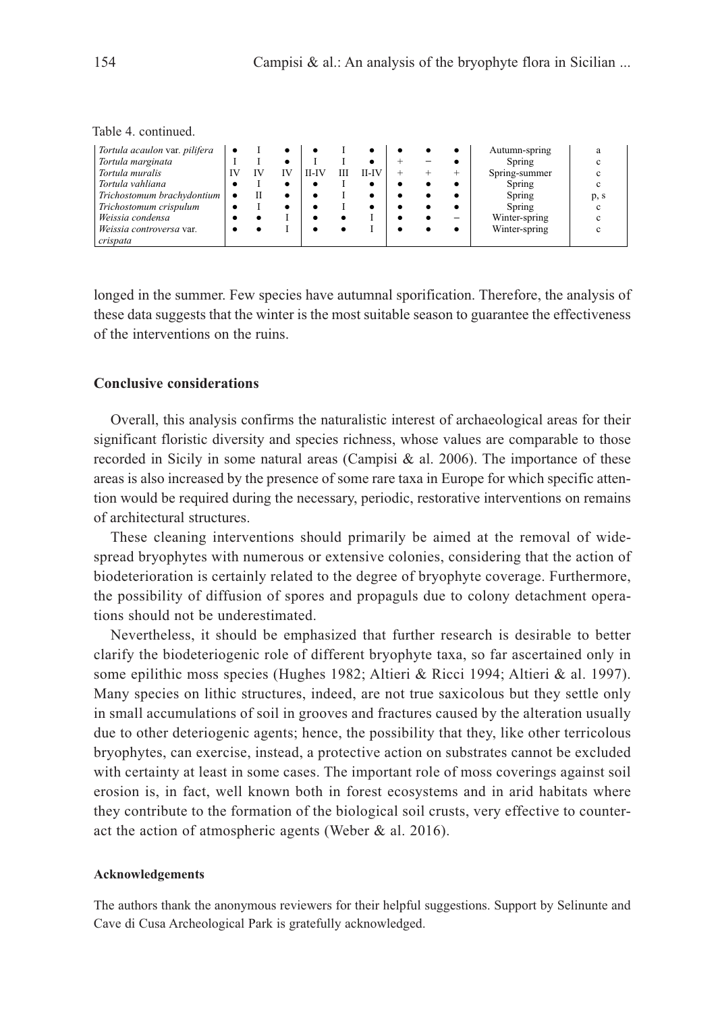Table 4. continued.

| Tortula acaulon var. pilifera |  |        |      |  | Autumn-spring |      |
|-------------------------------|--|--------|------|--|---------------|------|
|                               |  |        |      |  |               |      |
| Tortula marginata             |  |        |      |  | Spring        |      |
| Tortula muralis               |  | 11-I V | 11-T |  | Spring-summer |      |
| Tortula vahliana              |  |        |      |  | Spring        |      |
| Trichostomum brachydontium    |  |        |      |  | Spring        | p, s |
| Trichostomum crispulum        |  |        |      |  | Spring        | c    |
| Weissia condensa              |  |        |      |  | Winter-spring |      |
| Weissia controversa var.      |  |        |      |  | Winter-spring |      |
| crispata                      |  |        |      |  |               |      |

longed in the summer. Few species have autumnal sporification. Therefore, the analysis of these data suggests that the winter is the most suitable season to guarantee the effectiveness of the interventions on the ruins.

## **Conclusive considerations**

Overall, this analysis confirms the naturalistic interest of archaeological areas for their significant floristic diversity and species richness, whose values are comparable to those recorded in Sicily in some natural areas (Campisi  $\&$  al. 2006). The importance of these areas is also increased by the presence of some rare taxa in Europe for which specific attention would be required during the necessary, periodic, restorative interventions on remains of architectural structures.

These cleaning interventions should primarily be aimed at the removal of widespread bryophytes with numerous or extensive colonies, considering that the action of biodeterioration is certainly related to the degree of bryophyte coverage. Furthermore, the possibility of diffusion of spores and propaguls due to colony detachment operations should not be underestimated.

Nevertheless, it should be emphasized that further research is desirable to better clarify the biodeteriogenic role of different bryophyte taxa, so far ascertained only in some epilithic moss species (Hughes 1982; Altieri & Ricci 1994; Altieri & al. 1997). Many species on lithic structures, indeed, are not true saxicolous but they settle only in small accumulations of soil in grooves and fractures caused by the alteration usually due to other deteriogenic agents; hence, the possibility that they, like other terricolous bryophytes, can exercise, instead, a protective action on substrates cannot be excluded with certainty at least in some cases. The important role of moss coverings against soil erosion is, in fact, well known both in forest ecosystems and in arid habitats where they contribute to the formation of the biological soil crusts, very effective to counteract the action of atmospheric agents (Weber & al. 2016).

#### **Acknowledgements**

The authors thank the anonymous reviewers for their helpful suggestions. Support by Selinunte and Cave di Cusa Archeological Park is gratefully acknowledged.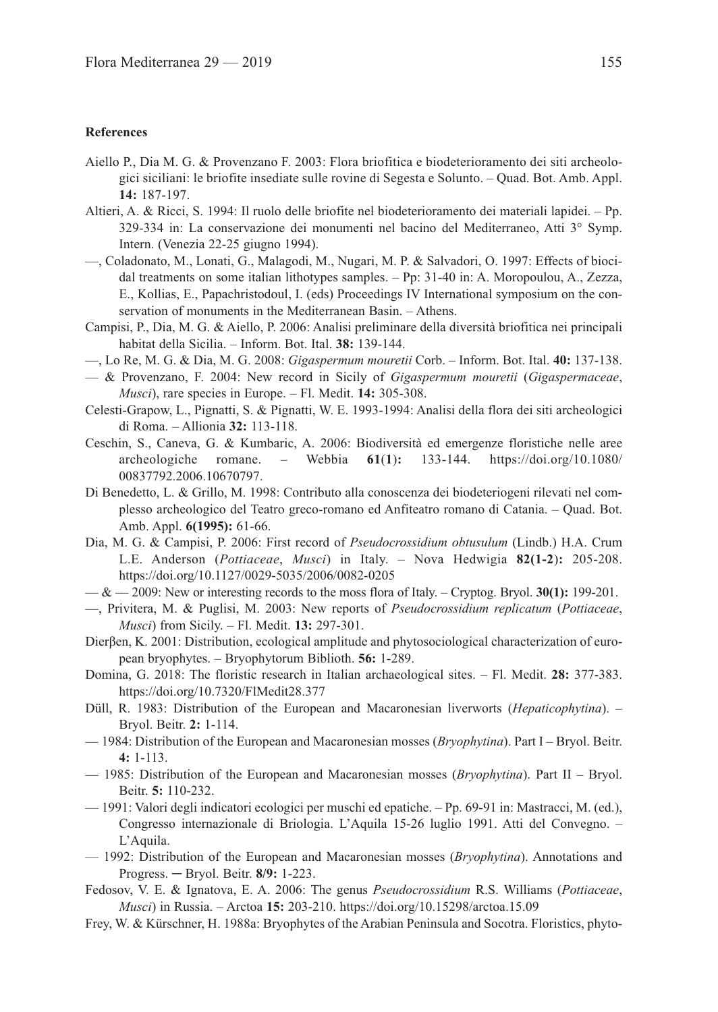#### **References**

- Aiello P., Dia M. G. & Provenzano F. 2003: Flora briofitica e biodeterioramento dei siti archeologici siciliani: le briofite insediate sulle rovine di Segesta e Solunto. – Quad. Bot. Amb. Appl. **14:** 187-197.
- Altieri, A. & Ricci, S. 1994: Il ruolo delle briofite nel biodeterioramento dei materiali lapidei. Pp. 329-334 in: La conservazione dei monumenti nel bacino del Mediterraneo, Atti 3° Symp. Intern. (Venezia 22-25 giugno 1994).
- ––, Coladonato, M., Lonati, G., Malagodi, M., Nugari, M. P. & Salvadori, O. 1997: Effects of biocidal treatments on some italian lithotypes samples. – Pp: 31-40 in: A. Moropoulou, A., Zezza, E., Kollias, E., Papachristodoul, I. (eds) Proceedings IV International symposium on the conservation of monuments in the Mediterranean Basin. – Athens.
- Campisi, P., Dia, M. G. & Aiello, P. 2006: Analisi preliminare della diversità briofitica nei principali habitat della Sicilia. – Inform. Bot. Ital. **38:** 139-144.
- ––, Lo Re, M. G. & Dia, M. G. 2008: *Gigaspermum mouretii* Corb. Inform. Bot. Ital. **40:** 137-138.
- –– & Provenzano, F. 2004: New record in Sicily of *Gigaspermum mouretii* (*Gigaspermaceae*, *Musci*), rare species in Europe. – Fl. Medit. **14:** 305-308.
- Celesti-Grapow, L., Pignatti, S. & Pignatti, W. E. 1993-1994: Analisi della flora dei siti archeologici di Roma. – Allionia **32:** 113-118.
- Ceschin, S., Caneva, G. & Kumbaric, A. 2006: Biodiversità ed emergenze floristiche nelle aree archeologiche romane. – Webbia **61**(**1**)**:** 133-144. https://doi.org/10.1080/ 00837792.2006.10670797.
- Di Benedetto, L. & Grillo, M. 1998: Contributo alla conoscenza dei biodeteriogeni rilevati nel complesso archeologico del Teatro greco-romano ed Anfiteatro romano di Catania. – Quad. Bot. Amb. Appl. **6(1995):** 61-66.
- Dia, M. G. & Campisi, P. 2006: First record of *Pseudocrossidium obtusulum* (Lindb.) H.A. Crum L.E. Anderson (*Pottiaceae*, *Musci*) in Italy. – Nova Hedwigia **82(1-2**)**:** 205-208. https://doi.org/10.1127/0029-5035/2006/0082-0205
- –– & –– 2009: New or interesting records to the moss flora of Italy. Cryptog. Bryol. **30(1):** 199-201.
- ––, Privitera, M. & Puglisi, M. 2003: New reports of *Pseudocrossidium replicatum* (*Pottiaceae*, *Musci*) from Sicily. – Fl. Medit. **13:** 297-301.
- Dierβen, K. 2001: Distribution, ecological amplitude and phytosociological characterization of european bryophytes. – Bryophytorum Biblioth. **56:** 1-289.
- Domina, G. 2018: The floristic research in Italian archaeological sites. Fl. Medit. **28:** 377-383. https://doi.org/10.7320/FlMedit28.377
- Düll, R. 1983: Distribution of the European and Macaronesian liverworts (*Hepaticophytina*). Bryol. Beitr. **2:** 1-114.
- –– 1984: Distribution of the European and Macaronesian mosses (*Bryophytina*). Part I Bryol. Beitr. **4:** 1-113.
- –– 1985: Distribution of the European and Macaronesian mosses (*Bryophytina*). Part II Bryol. Beitr. **5:** 110-232.
- –– 1991: Valori degli indicatori ecologici per muschi ed epatiche. Pp. 69-91 in: Mastracci, M. (ed.), Congresso internazionale di Briologia. L'Aquila 15-26 luglio 1991. Atti del Convegno. – L'Aquila.
- –– 1992: Distribution of the European and Macaronesian mosses (*Bryophytina*). Annotations and Progress. ─ Bryol. Beitr. **8/9:** 1-223.
- Fedosov, V. E. & Ignatova, E. A. 2006: The genus *Pseudocrossidium* R.S. Williams (*Pottiaceae*, *Musci*) in Russia. – Arctoa **15:** 203-210. https://doi.org/10.15298/arctoa.15.09
- Frey, W. & Kürschner, H. 1988a: Bryophytes of the Arabian Peninsula and Socotra. Floristics, phyto-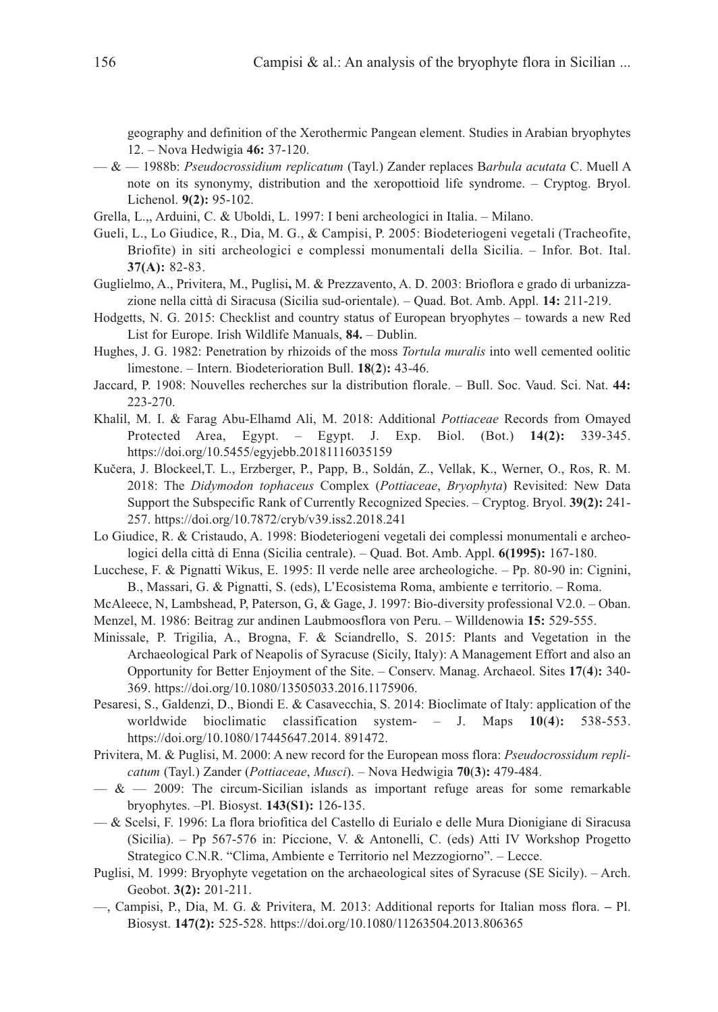geography and definition of the Xerothermic Pangean element. Studies in Arabian bryophytes 12. – Nova Hedwigia **46:** 37-120.

–– & –– 1988b: *Pseudocrossidium replicatum* (Tayl.) Zander replaces B*arbula acutata* C. Muell A note on its synonymy, distribution and the xeropottioid life syndrome. – Cryptog. Bryol. Lichenol. **9(2):** 95-102.

Grella, L.,, Arduini, C. & Uboldi, L. 1997: I beni archeologici in Italia. – Milano.

- Gueli, L., Lo Giudice, R., Dia, M. G., & Campisi, P. 2005: Biodeteriogeni vegetali (Tracheofite, Briofite) in siti archeologici e complessi monumentali della Sicilia. – Infor. Bot. Ital. **37(A):** 82-83.
- Guglielmo, A., Privitera, M., Puglisi**,** M. & Prezzavento, A. D. 2003: Brioflora e grado di urbanizzazione nella città di Siracusa (Sicilia sud-orientale). – Quad. Bot. Amb. Appl. **14:** 211-219.
- Hodgetts, N. G. 2015: Checklist and country status of European bryophytes towards a new Red List for Europe. Irish Wildlife Manuals, **84.** – Dublin.
- Hughes, J. G. 1982: Penetration by rhizoids of the moss *Tortula muralis* into well cemented oolitic limestone. – Intern. Biodeterioration Bull. **18**(**2**)**:** 43-46.
- Jaccard, P. 1908: Nouvelles recherches sur la distribution florale. Bull. Soc. Vaud. Sci. Nat. **44:** 223-270.
- Khalil, M. I. & Farag Abu-Elhamd Ali, M. 2018: Additional *Pottiaceae* Records from Omayed Protected Area, Egypt. – Egypt. J. Exp. Biol. (Bot.) **14(2):** 339-345. https://doi.org/10.5455/egyjebb.20181116035159
- Kučera, J. Blockeel,T. L., Erzberger, P., Papp, B., Soldán, Z., Vellak, K., Werner, O., Ros, R. M. 2018: The *Didymodon tophaceus* Complex (*Pottiaceae*, *Bryophyta*) Revisited: New Data Support the Subspecific Rank of Currently Recognized Species. – Cryptog. Bryol. **39(2):** 241- 257. https://doi.org/10.7872/cryb/v39.iss2.2018.241
- Lo Giudice, R. & Cristaudo, A. 1998: Biodeteriogeni vegetali dei complessi monumentali e archeologici della città di Enna (Sicilia centrale). – Quad. Bot. Amb. Appl. **6(1995):** 167-180.
- Lucchese, F. & Pignatti Wikus, E. 1995: Il verde nelle aree archeologiche. Pp. 80-90 in: Cignini, B., Massari, G. & Pignatti, S. (eds), L'Ecosistema Roma, ambiente e territorio. – Roma.
- McAleece, N, Lambshead, P, Paterson, G, & Gage, J. 1997: Bio-diversity professional V2.0. Oban. Menzel, M. 1986: Beitrag zur andinen Laubmoosflora von Peru. – Willdenowia **15:** 529-555.
- Minissale, P. Trigilia, A., Brogna, F. & Sciandrello, S. 2015: Plants and Vegetation in the Archaeological Park of Neapolis of Syracuse (Sicily, Italy): A Management Effort and also an Opportunity for Better Enjoyment of the Site. – Conserv. Manag. Archaeol. Sites **17**(**4**)**:** 340- 369. https://doi.org/10.1080/13505033.2016.1175906.
- Pesaresi, S., Galdenzi, D., Biondi E. & Casavecchia, S. 2014: Bioclimate of Italy: application of the worldwide bioclimatic classification system- – J. Maps **10**(**4**)**:** 538-553. https://doi.org/10.1080/17445647.2014. 891472.
- Privitera, M. & Puglisi, M. 2000: A new record for the European moss flora: *Pseudocrossidum replicatum* (Tayl.) Zander (*Pottiaceae*, *Musci*). – Nova Hedwigia **70**(**3**)**:** 479-484.
- $-$  &  $-$  2009: The circum-Sicilian islands as important refuge areas for some remarkable bryophytes. –Pl. Biosyst. **143(S1):** 126-135.
- –– & Scelsi, F. 1996: La flora briofitica del Castello di Eurialo e delle Mura Dionigiane di Siracusa (Sicilia). – Pp 567-576 in: Piccione, V. & Antonelli, C. (eds) Atti IV Workshop Progetto Strategico C.N.R. "Clima, Ambiente e Territorio nel Mezzogiorno". – Lecce.
- Puglisi, M. 1999: Bryophyte vegetation on the archaeological sites of Syracuse (SE Sicily). Arch. Geobot. **3(2):** 201-211.
- ––, Campisi, P., Dia, M. G. & Privitera, M. 2013: Additional reports for Italian moss flora. Pl. Biosyst. **147(2):** 525-528. https://doi.org/10.1080/11263504.2013.806365